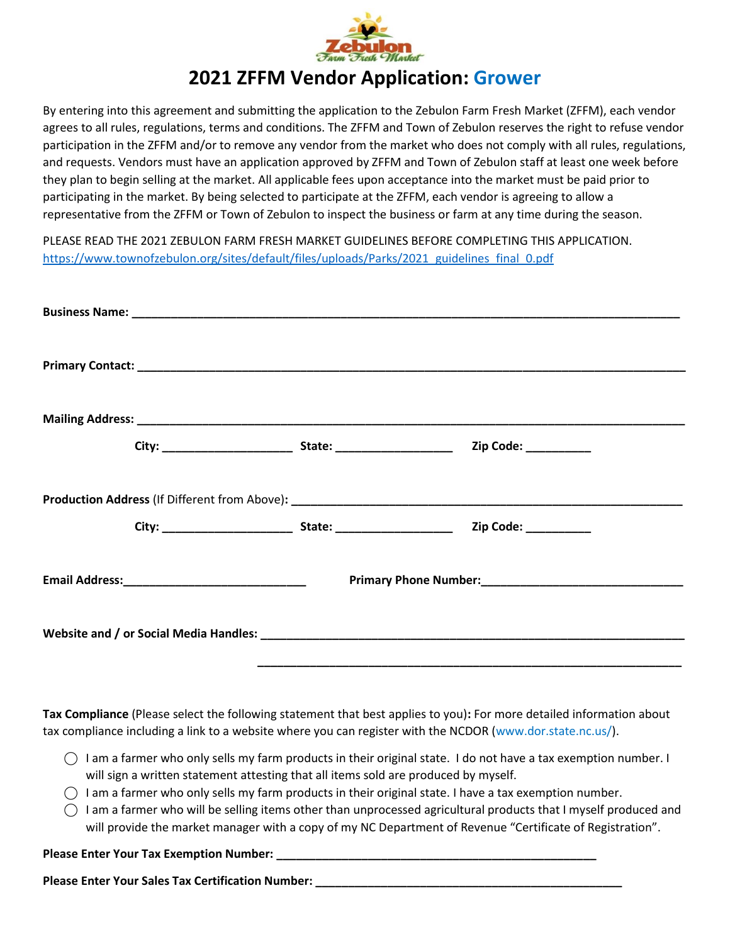

## **2021 ZFFM Vendor Application: Grower**

By entering into this agreement and submitting the application to the Zebulon Farm Fresh Market (ZFFM), each vendor agrees to all rules, regulations, terms and conditions. The ZFFM and Town of Zebulon reserves the right to refuse vendor participation in the ZFFM and/or to remove any vendor from the market who does not comply with all rules, regulations, and requests. Vendors must have an application approved by ZFFM and Town of Zebulon staff at least one week before they plan to begin selling at the market. All applicable fees upon acceptance into the market must be paid prior to participating in the market. By being selected to participate at the ZFFM, each vendor is agreeing to allow a representative from the ZFFM or Town of Zebulon to inspect the business or farm at any time during the season.

PLEASE READ THE 2021 ZEBULON FARM FRESH MARKET GUIDELINES BEFORE COMPLETING THIS APPLICATION. [https://www.townofzebulon.org/sites/default/files/uploads/Parks/2021\\_guidelines\\_final\\_0.pdf](https://www.townofzebulon.org/sites/default/files/uploads/Parks/2021_guidelines_final_0.pdf)

**Tax Compliance** (Please select the following statement that best applies to you)**:** For more detailed information about tax compliance including a link to a website where you can register with the NCDOR (www.dor.state.nc.us/).

- $\bigcirc$  I am a farmer who only sells my farm products in their original state. I do not have a tax exemption number. I will sign a written statement attesting that all items sold are produced by myself.
- $\bigcirc$  I am a farmer who only sells my farm products in their original state. I have a tax exemption number.
- $\bigcirc$  I am a farmer who will be selling items other than unprocessed agricultural products that I myself produced and will provide the market manager with a copy of my NC Department of Revenue "Certificate of Registration".

Please Enter Your Tax Exemption Number:

**Please Enter Your Sales Tax Certification Number:**  $\blacksquare$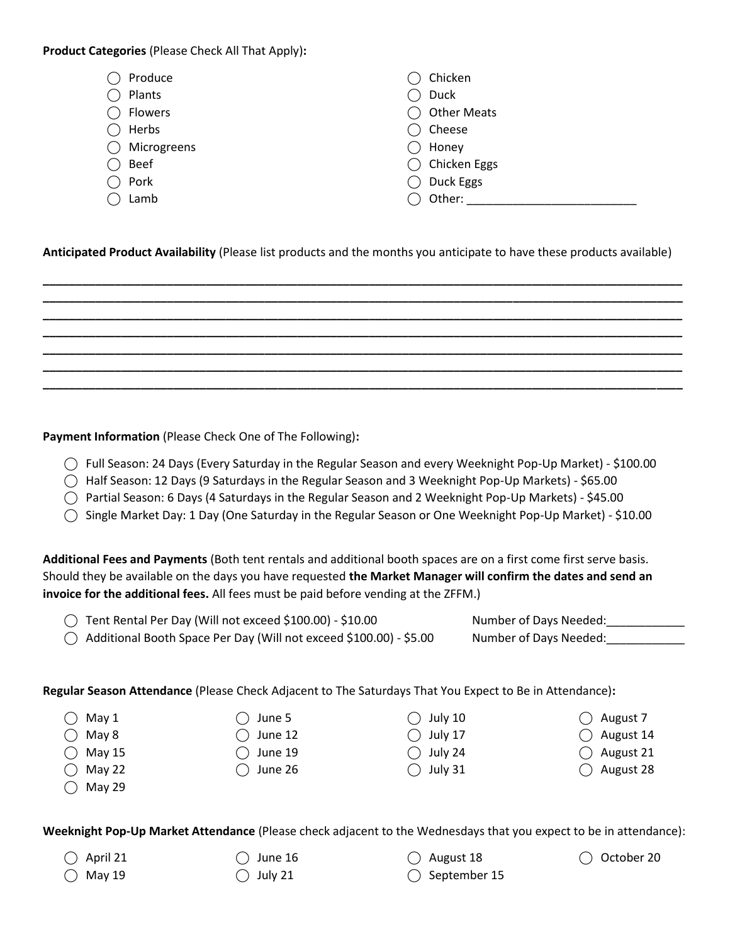**Product Categories** (Please Check All That Apply)**:** 

| Produce     | Chicken            |
|-------------|--------------------|
| Plants      | Duck               |
| Flowers     | <b>Other Meats</b> |
| Herbs       | Cheese             |
| Microgreens | Honey              |
| Beef        | Chicken Eggs       |
| Pork        | Duck Eggs          |
| Lamb        | Other:             |

**Anticipated Product Availability** (Please list products and the months you anticipate to have these products available)

**\_\_\_\_\_\_\_\_\_\_\_\_\_\_\_\_\_\_\_\_\_\_\_\_\_\_\_\_\_\_\_\_\_\_\_\_\_\_\_\_\_\_\_\_\_\_\_\_\_\_\_\_\_\_\_\_\_\_\_\_\_\_\_\_\_\_\_\_\_\_\_\_\_\_\_\_\_\_\_\_\_\_\_\_\_\_\_\_\_\_\_\_\_\_\_\_\_\_ \_\_\_\_\_\_\_\_\_\_\_\_\_\_\_\_\_\_\_\_\_\_\_\_\_\_\_\_\_\_\_\_\_\_\_\_\_\_\_\_\_\_\_\_\_\_\_\_\_\_\_\_\_\_\_\_\_\_\_\_\_\_\_\_\_\_\_\_\_\_\_\_\_\_\_\_\_\_\_\_\_\_\_\_\_\_\_\_\_\_\_\_\_\_\_\_\_\_ \_\_\_\_\_\_\_\_\_\_\_\_\_\_\_\_\_\_\_\_\_\_\_\_\_\_\_\_\_\_\_\_\_\_\_\_\_\_\_\_\_\_\_\_\_\_\_\_\_\_\_\_\_\_\_\_\_\_\_\_\_\_\_\_\_\_\_\_\_\_\_\_\_\_\_\_\_\_\_\_\_\_\_\_\_\_\_\_\_\_\_\_\_\_\_\_\_\_ \_\_\_\_\_\_\_\_\_\_\_\_\_\_\_\_\_\_\_\_\_\_\_\_\_\_\_\_\_\_\_\_\_\_\_\_\_\_\_\_\_\_\_\_\_\_\_\_\_\_\_\_\_\_\_\_\_\_\_\_\_\_\_\_\_\_\_\_\_\_\_\_\_\_\_\_\_\_\_\_\_\_\_\_\_\_\_\_\_\_\_\_\_\_\_\_\_\_ \_\_\_\_\_\_\_\_\_\_\_\_\_\_\_\_\_\_\_\_\_\_\_\_\_\_\_\_\_\_\_\_\_\_\_\_\_\_\_\_\_\_\_\_\_\_\_\_\_\_\_\_\_\_\_\_\_\_\_\_\_\_\_\_\_\_\_\_\_\_\_\_\_\_\_\_\_\_\_\_\_\_\_\_\_\_\_\_\_\_\_\_\_\_\_\_\_\_ \_\_\_\_\_\_\_\_\_\_\_\_\_\_\_\_\_\_\_\_\_\_\_\_\_\_\_\_\_\_\_\_\_\_\_\_\_\_\_\_\_\_\_\_\_\_\_\_\_\_\_\_\_\_\_\_\_\_\_\_\_\_\_\_\_\_\_\_\_\_\_\_\_\_\_\_\_\_\_\_\_\_\_\_\_\_\_\_\_\_\_\_\_\_\_\_\_\_ \_\_\_\_\_\_\_\_\_\_\_\_\_\_\_\_\_\_\_\_\_\_\_\_\_\_\_\_\_\_\_\_\_\_\_\_\_\_\_\_\_\_\_\_\_\_\_\_\_\_\_\_\_\_\_\_\_\_\_\_\_\_\_\_\_\_\_\_\_\_\_\_\_\_\_\_\_\_\_\_\_\_\_\_\_\_\_\_\_\_\_\_\_\_\_\_\_\_**

**Payment Information** (Please Check One of The Following)**:**

- ⃝ Full Season: 24 Days (Every Saturday in the Regular Season and every Weeknight Pop-Up Market) \$100.00
- $\bigcirc$  Half Season: 12 Days (9 Saturdays in the Regular Season and 3 Weeknight Pop-Up Markets) \$65.00
- ⃝ Partial Season: 6 Days (4 Saturdays in the Regular Season and 2 Weeknight Pop-Up Markets) \$45.00
- ⃝ Single Market Day: 1 Day (One Saturday in the Regular Season or One Weeknight Pop-Up Market) \$10.00

**Additional Fees and Payments** (Both tent rentals and additional booth spaces are on a first come first serve basis. Should they be available on the days you have requested **the Market Manager will confirm the dates and send an invoice for the additional fees.** All fees must be paid before vending at the ZFFM.)

|  | ◯ Tent Rental Per Day (Will not exceed \$100.00) - \$10.00 |  |                                                                                                                                                                                                                                                                                                                                    | Number of Days Needed: |  |
|--|------------------------------------------------------------|--|------------------------------------------------------------------------------------------------------------------------------------------------------------------------------------------------------------------------------------------------------------------------------------------------------------------------------------|------------------------|--|
|  | $\sim$ $\sim$ $\sim$ $\sim$ $\sim$ $\sim$ $\sim$           |  | $\mathbf{1}$ $\mathbf{1}$ $\mathbf{2}$ $\mathbf{3}$ $\mathbf{3}$ $\mathbf{4}$ $\mathbf{5}$ $\mathbf{5}$ $\mathbf{5}$ $\mathbf{6}$ $\mathbf{5}$ $\mathbf{6}$ $\mathbf{6}$ $\mathbf{7}$ $\mathbf{8}$ $\mathbf{8}$ $\mathbf{8}$ $\mathbf{8}$ $\mathbf{8}$ $\mathbf{8}$ $\mathbf{8}$ $\mathbf{8}$ $\mathbf{8}$ $\mathbf{8}$ $\mathbf{$ |                        |  |

| $\bigcirc$ Additional Booth Space Per Day (Will not exceed \$100.00) - \$5.00 | Number of Days Needed: |
|-------------------------------------------------------------------------------|------------------------|
|-------------------------------------------------------------------------------|------------------------|

 $\bigcirc$  June 5  $\bigcap$  June 12  $\bigcirc$  June 19  $\bigcirc$  June 26

**Regular Season Attendance** (Please Check Adjacent to The Saturdays That You Expect to Be in Attendance)**:**

|  | Mav |  |
|--|-----|--|
|--|-----|--|

- $\bigcap$  May 8
- $\bigcirc$  May 15
- $\bigcap$  May 22
- $\bigcirc$  May 29

**Weeknight Pop-Up Market Attendance** (Please check adjacent to the Wednesdays that you expect to be in attendance):

 $\bigcap$  April 21

 $\bigcirc$  May 19

 $\bigcirc$  June 16  $\bigcirc$  July 21

 $\bigcap$  August 18

 $\bigcirc$  August 7  $\bigcap$  August 14 ⃝ August 21 ⃝ August 28

⃝ October 20

 $\bigcirc$  September 15

 $\bigcirc$  July 10  $\bigcirc$  July 17  $\bigcirc$  July 24  $\bigcirc$  July 31